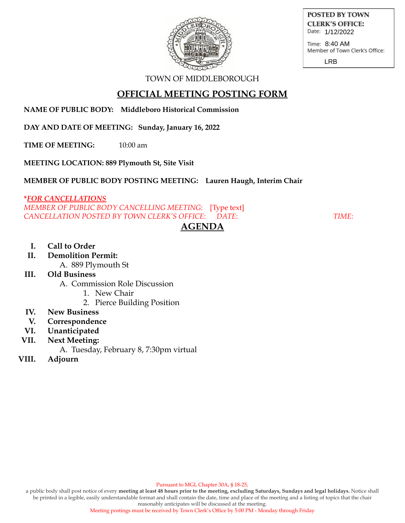

POSTED BY TOWN **CLERK'S OFFICE:** Date: 1/12/2022

Time: 8:40 AM<br>Member of Town Clerk's Office:

LRB

## TOWN OF MIDDLEBOROUGH

# **OFFICIAL MEETING POSTING FORM**

**NAME OF PUBLIC BODY: Middleboro Historical Commission**

**DAY AND DATE OF MEETING: Sunday, January 16, 2022**

**TIME OF MEETING:** 10:00 am

**MEETING LOCATION: 889 Plymouth St, Site Visit**

**MEMBER OF PUBLIC BODY POSTING MEETING: Lauren Haugh, Interim Chair**

## **\****FOR CANCELLATIONS*

*MEMBER OF PUBLIC BODY CANCELLING MEETING*: [Type text] *CANCELLATION POSTED BY TOWN CLERK'S OFFICE*: *DATE*: *TIME*: **AGENDA**

#### **I. Call to Order**

**II. Demolition Permit:**

A. 889 Plymouth St

## **III. Old Business**

A. Commission Role Discussion

- 1. New Chair
- 2. Pierce Building Position

## **IV. New Business**

- **V. Correspondence**
- **VI. Unanticipated**
- **VII. Next Meeting:**
	- A. Tuesday, February 8, 7:30pm virtual
- **VIII. Adjourn**

Pursuant to MGL Chapter 30A, § 18-25,

a public body shall post notice of every meeting at least 48 hours prior to the meeting, excluding Saturdays, Sundays and legal holidays. Notice shall be printed in a legible, easily understandable format and shall contain the date, time and place of the meeting and a listing of topics that the chair reasonably anticipates will be discussed at the meeting.